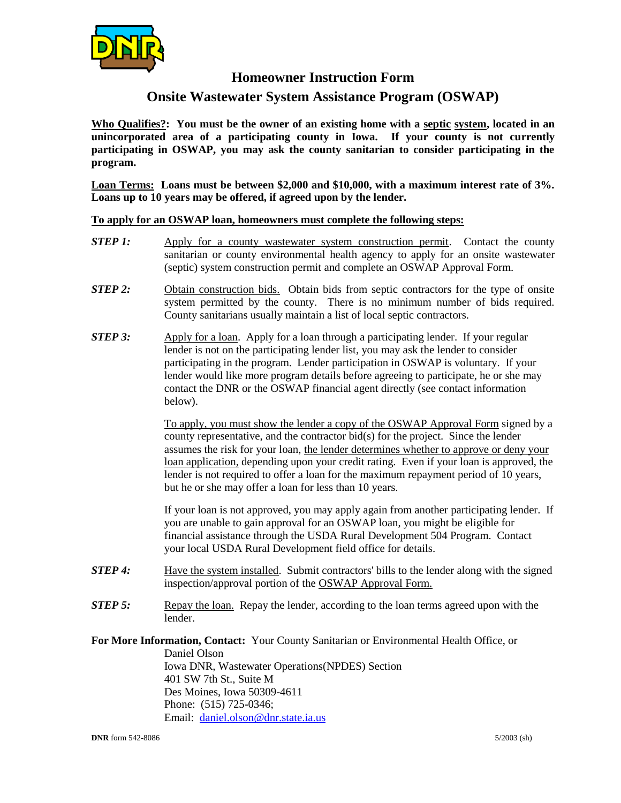

## **Homeowner Instruction Form**

## **Onsite Wastewater System Assistance Program (OSWAP)**

**Who Qualifies?: You must be the owner of an existing home with a septic system, located in an unincorporated area of a participating county in Iowa. If your county is not currently participating in OSWAP, you may ask the county sanitarian to consider participating in the program.** 

**Loan Terms: Loans must be between \$2,000 and \$10,000, with a maximum interest rate of 3%. Loans up to 10 years may be offered, if agreed upon by the lender.**

**To apply for an OSWAP loan, homeowners must complete the following steps:**

- *STEP 1:* Apply for a county wastewater system construction permit. Contact the county sanitarian or county environmental health agency to apply for an onsite wastewater (septic) system construction permit and complete an OSWAP Approval Form.
- **STEP 2:** Obtain construction bids. Obtain bids from septic contractors for the type of onsite system permitted by the county. There is no minimum number of bids required. County sanitarians usually maintain a list of local septic contractors.
- *STEP 3:* Apply for a loan. Apply for a loan through a participating lender. If your regular lender is not on the participating lender list, you may ask the lender to consider participating in the program. Lender participation in OSWAP is voluntary. If your lender would like more program details before agreeing to participate, he or she may contact the DNR or the OSWAP financial agent directly (see contact information below).

To apply, you must show the lender a copy of the OSWAP Approval Form signed by a county representative, and the contractor bid(s) for the project. Since the lender assumes the risk for your loan, the lender determines whether to approve or deny your loan application, depending upon your credit rating. Even if your loan is approved, the lender is not required to offer a loan for the maximum repayment period of 10 years, but he or she may offer a loan for less than 10 years.

If your loan is not approved, you may apply again from another participating lender. If you are unable to gain approval for an OSWAP loan, you might be eligible for financial assistance through the USDA Rural Development 504 Program. Contact your local USDA Rural Development field office for details.

- *STEP 4:* Have the system installed. Submit contractors' bills to the lender along with the signed inspection/approval portion of the OSWAP Approval Form.
- *STEP 5:* Repay the loan. Repay the lender, according to the loan terms agreed upon with the lender.

**For More Information, Contact:** Your County Sanitarian or Environmental Health Office, or

Daniel Olson Iowa DNR, Wastewater Operations(NPDES) Section 401 SW 7th St., Suite M Des Moines, Iowa 50309-4611 Phone: (515) 725-0346; Email: [daniel.olson@dnr.state.ia.us](mailto:stephen.hopkins@dnr.state.ia.us)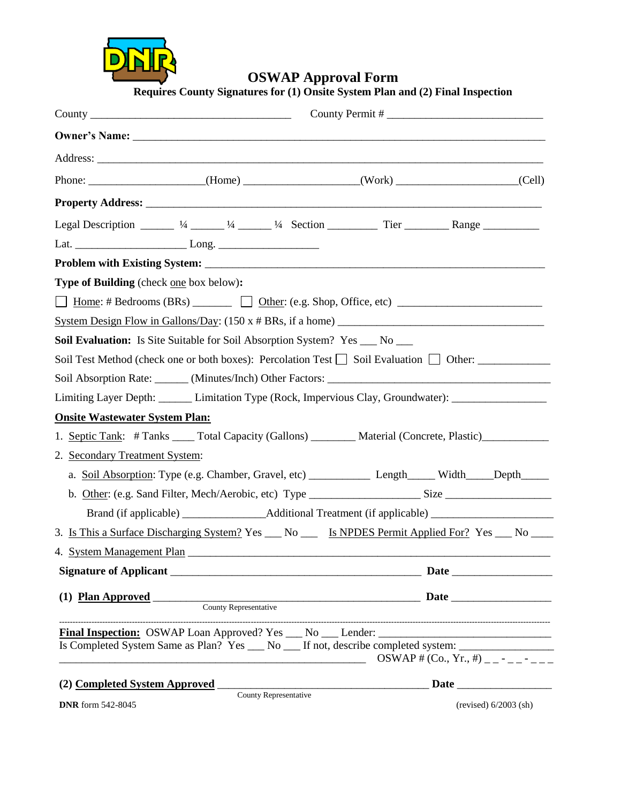

**OSWAP Approval Form**

**Requires County Signatures for (1) Onsite System Plan and (2) Final Inspection**

| Phone: ______________________(Home) ______________(Work) ____________________(Cell)                                  |                                         |
|----------------------------------------------------------------------------------------------------------------------|-----------------------------------------|
|                                                                                                                      |                                         |
|                                                                                                                      |                                         |
|                                                                                                                      |                                         |
|                                                                                                                      |                                         |
| Legal Description _____ $\frac{1}{4}$ ____ $\frac{1}{4}$ Section _______ Tier ______ Range ________                  |                                         |
|                                                                                                                      |                                         |
|                                                                                                                      |                                         |
| <b>Type of Building</b> (check one box below):                                                                       |                                         |
| $\Box$                                                                                                               |                                         |
| System Design Flow in Gallons/Day: $(150 \times # BRs, \text{ if a home})$                                           |                                         |
| <b>Soil Evaluation:</b> Is Site Suitable for Soil Absorption System? Yes __ No __                                    |                                         |
| Soil Test Method (check one or both boxes): Percolation Test $\Box$ Soil Evaluation $\Box$ Other:                    |                                         |
|                                                                                                                      |                                         |
| Limiting Layer Depth: Limitation Type (Rock, Impervious Clay, Groundwater): ____________                             |                                         |
| <b>Onsite Wastewater System Plan:</b>                                                                                |                                         |
| 1. Septic Tank: # Tanks _____ Total Capacity (Gallons) _________ Material (Concrete, Plastic) ____________           |                                         |
| 2. Secondary Treatment System:                                                                                       |                                         |
|                                                                                                                      |                                         |
| b. Other: (e.g. Sand Filter, Mech/Aerobic, etc) Type _______________________Size _____________________________       |                                         |
| Brand (if applicable) __________________Additional Treatment (if applicable) _______________________                 |                                         |
| 3. Is This a Surface Discharging System? Yes __ No ___ Is NPDES Permit Applied For? Yes __ No ___                    |                                         |
|                                                                                                                      |                                         |
|                                                                                                                      |                                         |
|                                                                                                                      |                                         |
|                                                                                                                      |                                         |
|                                                                                                                      |                                         |
| Is Completed System Same as Plan? Yes __ No __ If not, describe completed system: _________________                  |                                         |
| <u> 1989 - Johann Stein, marwolaethau a bhann an t-Amhain Aonaich an t-Amhain Aonaich an t-Amhain Aonaich an t-A</u> | OSWAP # (Co., Yr., #) _ _ - _ _ - _ _ _ |
| (2) Completed System Approved Completed System Approved Completed System Approved                                    |                                         |

County Representative

**DNR** form 542-8045 (revised) 6/2003 (sh)